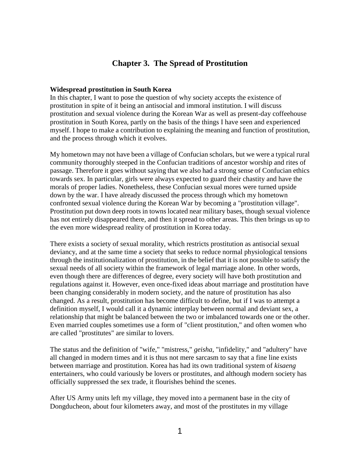# **Chapter 3. The Spread of Prostitution**

#### **Widespread prostitution in South Korea**

In this chapter, I want to pose the question of why society accepts the existence of prostitution in spite of it being an antisocial and immoral institution. I will discuss prostitution and sexual violence during the Korean War as well as present-day coffeehouse prostitution in South Korea, partly on the basis of the things I have seen and experienced myself. I hope to make a contribution to explaining the meaning and function of prostitution, and the process through which it evolves.

My hometown may not have been a village of Confucian scholars, but we were a typical rural community thoroughly steeped in the Confucian traditions of ancestor worship and rites of passage. Therefore it goes without saying that we also had a strong sense of Confucian ethics towards sex. In particular, girls were always expected to guard their chastity and have the morals of proper ladies. Nonetheless, these Confucian sexual mores were turned upside down by the war. I have already discussed the process through which my hometown confronted sexual violence during the Korean War by becoming a "prostitution village". Prostitution put down deep roots in towns located near military bases, though sexual violence has not entirely disappeared there, and then it spread to other areas. This then brings us up to the even more widespread reality of prostitution in Korea today.

There exists a society of sexual morality, which restricts prostitution as antisocial sexual deviancy, and at the same time a society that seeks to reduce normal physiological tensions through the institutionalization of prostitution, in the belief that it is not possible to satisfy the sexual needs of all society within the framework of legal marriage alone. In other words, even though there are differences of degree, every society will have both prostitution and regulations against it. However, even once-fixed ideas about marriage and prostitution have been changing considerably in modern society, and the nature of prostitution has also changed. As a result, prostitution has become difficult to define, but if I was to attempt a definition myself, I would call it a dynamic interplay between normal and deviant sex, a relationship that might be balanced between the two or imbalanced towards one or the other. Even married couples sometimes use a form of "client prostitution," and often women who are called "prostitutes" are similar to lovers.

The status and the definition of "wife," "mistress," *geisha*, "infidelity," and "adultery" have all changed in modern times and it is thus not mere sarcasm to say that a fine line exists between marriage and prostitution. Korea has had its own traditional system of *kisaeng* entertainers, who could variously be lovers or prostitutes, and although modern society has officially suppressed the sex trade, it flourishes behind the scenes.

After US Army units left my village, they moved into a permanent base in the city of Dongducheon, about four kilometers away, and most of the prostitutes in my village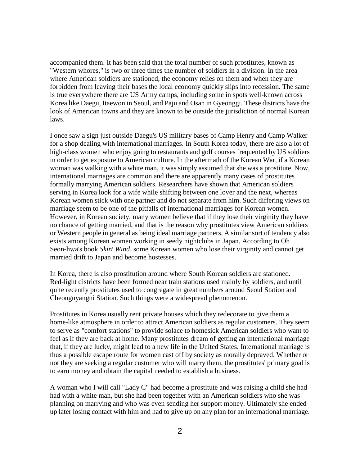accompanied them. It has been said that the total number of such prostitutes, known as "Western whores," is two or three times the number of soldiers in a division. In the area where American soldiers are stationed, the economy relies on them and when they are forbidden from leaving their bases the local economy quickly slips into recession. The same is true everywhere there are US Army camps, including some in spots well-known across Korea like Daegu, Itaewon in Seoul, and Paju and Osan in Gyeonggi. These districts have the look of American towns and they are known to be outside the jurisdiction of normal Korean laws.

I once saw a sign just outside Daegu's US military bases of Camp Henry and Camp Walker for a shop dealing with international marriages. In South Korea today, there are also a lot of high-class women who enjoy going to restaurants and golf courses frequented by US soldiers in order to get exposure to American culture. In the aftermath of the Korean War, if a Korean woman was walking with a white man, it was simply assumed that she was a prostitute. Now, international marriages are common and there are apparently many cases of prostitutes formally marrying American soldiers. Researchers have shown that American soldiers serving in Korea look for a wife while shifting between one lover and the next, whereas Korean women stick with one partner and do not separate from him. Such differing views on marriage seem to be one of the pitfalls of international marriages for Korean women. However, in Korean society, many women believe that if they lose their virginity they have no chance of getting married, and that is the reason why prostitutes view American soldiers or Western people in general as being ideal marriage partners. A similar sort of tendency also exists among Korean women working in seedy nightclubs in Japan. According to Oh Seon-hwa's book *Skirt Wind*, some Korean women who lose their virginity and cannot get married drift to Japan and become hostesses.

In Korea, there is also prostitution around where South Korean soldiers are stationed. Red-light districts have been formed near train stations used mainly by soldiers, and until quite recently prostitutes used to congregate in great numbers around Seoul Station and Cheongnyangni Station. Such things were a widespread phenomenon.

Prostitutes in Korea usually rent private houses which they redecorate to give them a home-like atmosphere in order to attract American soldiers as regular customers. They seem to serve as "comfort stations" to provide solace to homesick American soldiers who want to feel as if they are back at home. Many prostitutes dream of getting an international marriage that, if they are lucky, might lead to a new life in the United States. International marriage is thus a possible escape route for women cast off by society as morally depraved. Whether or not they are seeking a regular customer who will marry them, the prostitutes' primary goal is to earn money and obtain the capital needed to establish a business.

A woman who I will call "Lady C" had become a prostitute and was raising a child she had had with a white man, but she had been together with an American soldiers who she was planning on marrying and who was even sending her support money. Ultimately she ended up later losing contact with him and had to give up on any plan for an international marriage.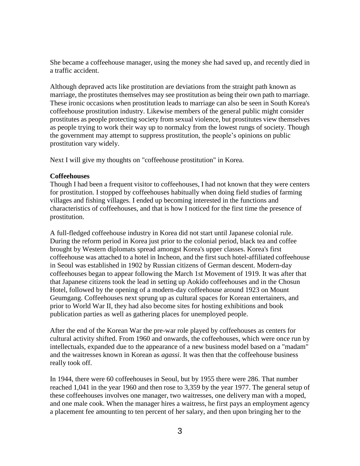She became a coffeehouse manager, using the money she had saved up, and recently died in a traffic accident.

Although depraved acts like prostitution are deviations from the straight path known as marriage, the prostitutes themselves may see prostitution as being their own path to marriage. These ironic occasions when prostitution leads to marriage can also be seen in South Korea's coffeehouse prostitution industry. Likewise members of the general public might consider prostitutes as people protecting society from sexual violence, but prostitutes view themselves as people trying to work their way up to normalcy from the lowest rungs of society. Though the government may attempt to suppress prostitution, the people's opinions on public prostitution vary widely.

Next I will give my thoughts on "coffeehouse prostitution" in Korea.

### **Coffeehouses**

Though I had been a frequent visitor to coffeehouses, I had not known that they were centers for prostitution. I stopped by coffeehouses habitually when doing field studies of farming villages and fishing villages. I ended up becoming interested in the functions and characteristics of coffeehouses, and that is how I noticed for the first time the presence of prostitution.

A full-fledged coffeehouse industry in Korea did not start until Japanese colonial rule. During the reform period in Korea just prior to the colonial period, black tea and coffee brought by Western diplomats spread amongst Korea's upper classes. Korea's first coffeehouse was attached to a hotel in Incheon, and the first such hotel-affiliated coffeehouse in Seoul was established in 1902 by Russian citizens of German descent. Modern-day coffeehouses began to appear following the March 1st Movement of 1919. It was after that that Japanese citizens took the lead in setting up Aokido coffeehouses and in the Chosun Hotel, followed by the opening of a modern-day coffeehouse around 1923 on Mount Geumgang. Coffeehouses next sprung up as cultural spaces for Korean entertainers, and prior to World War II, they had also become sites for hosting exhibitions and book publication parties as well as gathering places for unemployed people.

After the end of the Korean War the pre-war role played by coffeehouses as centers for cultural activity shifted. From 1960 and onwards, the coffeehouses, which were once run by intellectuals, expanded due to the appearance of a new business model based on a "madam" and the waitresses known in Korean as *agassi*. It was then that the coffeehouse business really took off.

In 1944, there were 60 coffeehouses in Seoul, but by 1955 there were 286. That number reached 1,041 in the year 1960 and then rose to 3,359 by the year 1977. The general setup of these coffeehouses involves one manager, two waitresses, one delivery man with a moped, and one male cook. When the manager hires a waitress, he first pays an employment agency a placement fee amounting to ten percent of her salary, and then upon bringing her to the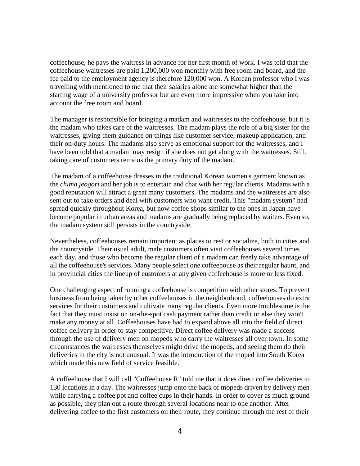coffeehouse, he pays the waitress in advance for her first month of work. I was told that the coffeehouse waitresses are paid 1,200,000 won monthly with free room and board, and the fee paid to the employment agency is therefore 120,000 won. A Korean professor who I was travelling with mentioned to me that their salaries alone are somewhat higher than the starting wage of a university professor but are even more impressive when you take into account the free room and board.

The manager is responsible for bringing a madam and waitresses to the coffeehouse, but it is the madam who takes care of the waitresses. The madam plays the role of a big sister for the waitresses, giving them guidance on things like customer service, makeup application, and their on-duty hours. The madams also serve as emotional support for the waitresses, and I have been told that a madam may resign if she does not get along with the waitresses. Still, taking care of customers remains the primary duty of the madam.

The madam of a coffeehouse dresses in the traditional Korean women's garment known as the *chima jeogori* and her job is to entertain and chat with her regular clients. Madams with a good reputation will attract a great many customers. The madams and the waitresses are also sent out to take orders and deal with customers who want credit. This "madam system" had spread quickly throughout Korea, but now coffee shops similar to the ones in Japan have become popular in urban areas and madams are gradually being replaced by waiters. Even so, the madam system still persists in the countryside.

Nevertheless, coffeehouses remain important as places to rest or socialize, both in cities and the countryside. Their usual adult, male customers often visit coffeehouses several times each day, and those who become the regular client of a madam can freely take advantage of all the coffeehouse's services. Many people select one coffeehouse as their regular haunt, and in provincial cities the lineup of customers at any given coffeehouse is more or less fixed.

One challenging aspect of running a coffeehouse is competition with other stores. To prevent business from being taken by other coffeehouses in the neighborhood, coffeehouses do extra services for their customers and cultivate many regular clients. Even more troublesome is the fact that they must insist on on-the-spot cash payment rather than credit or else they won't make any money at all. Coffeehouses have had to expand above all into the field of direct coffee delivery in order to stay competitive. Direct coffee delivery was made a success through the use of delivery men on mopeds who carry the waitresses all over town. In some circumstances the waitresses themselves might drive the mopeds, and seeing them do their deliveries in the city is not unusual. It was the introduction of the moped into South Korea which made this new field of service feasible.

A coffeehouse that I will call "Coffeehouse R" told me that it does direct coffee deliveries to 130 locations in a day. The waitresses jump onto the back of mopeds driven by delivery men while carrying a coffee pot and coffee cups in their hands. In order to cover as much ground as possible, they plan out a route through several locations near to one another. After delivering coffee to the first customers on their route, they continue through the rest of their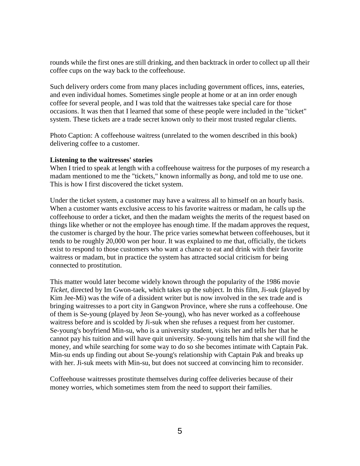rounds while the first ones are still drinking, and then backtrack in order to collect up all their coffee cups on the way back to the coffeehouse.

Such delivery orders come from many places including government offices, inns, eateries, and even individual homes. Sometimes single people at home or at an inn order enough coffee for several people, and I was told that the waitresses take special care for those occasions. It was then that I learned that some of these people were included in the "ticket" system. These tickets are a trade secret known only to their most trusted regular clients.

Photo Caption: A coffeehouse waitress (unrelated to the women described in this book) delivering coffee to a customer.

### **Listening to the waitresses' stories**

When I tried to speak at length with a coffeehouse waitress for the purposes of my research a madam mentioned to me the "tickets," known informally as *bong*, and told me to use one. This is how I first discovered the ticket system.

Under the ticket system, a customer may have a waitress all to himself on an hourly basis. When a customer wants exclusive access to his favorite waitress or madam, he calls up the coffeehouse to order a ticket, and then the madam weights the merits of the request based on things like whether or not the employee has enough time. If the madam approves the request, the customer is charged by the hour. The price varies somewhat between coffeehouses, but it tends to be roughly 20,000 won per hour. It was explained to me that, officially, the tickets exist to respond to those customers who want a chance to eat and drink with their favorite waitress or madam, but in practice the system has attracted social criticism for being connected to prostitution.

This matter would later become widely known through the popularity of the 1986 movie *Ticket*, directed by Im Gwon-taek, which takes up the subject. In this film, Ji-suk (played by Kim Jee-Mi) was the wife of a dissident writer but is now involved in the sex trade and is bringing waitresses to a port city in Gangwon Province, where she runs a coffeehouse. One of them is Se-young (played by Jeon Se-young), who has never worked as a coffeehouse waitress before and is scolded by Ji-suk when she refuses a request from her customer. Se-young's boyfriend Min-su, who is a university student, visits her and tells her that he cannot pay his tuition and will have quit university. Se-young tells him that she will find the money, and while searching for some way to do so she becomes intimate with Captain Pak. Min-su ends up finding out about Se-young's relationship with Captain Pak and breaks up with her. Ji-suk meets with Min-su, but does not succeed at convincing him to reconsider.

Coffeehouse waitresses prostitute themselves during coffee deliveries because of their money worries, which sometimes stem from the need to support their families.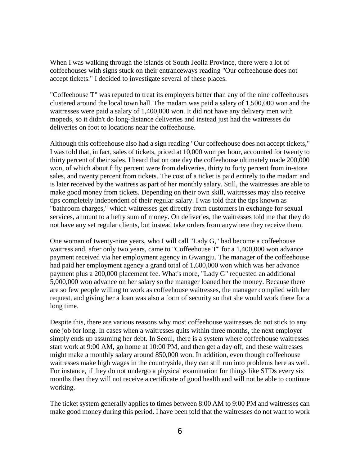When I was walking through the islands of South Jeolla Province, there were a lot of coffeehouses with signs stuck on their entranceways reading "Our coffeehouse does not accept tickets." I decided to investigate several of these places.

"Coffeehouse T" was reputed to treat its employers better than any of the nine coffeehouses clustered around the local town hall. The madam was paid a salary of 1,500,000 won and the waitresses were paid a salary of 1,400,000 won. It did not have any delivery men with mopeds, so it didn't do long-distance deliveries and instead just had the waitresses do deliveries on foot to locations near the coffeehouse.

Although this coffeehouse also had a sign reading "Our coffeehouse does not accept tickets," I was told that, in fact, sales of tickets, priced at 10,000 won per hour, accounted for twenty to thirty percent of their sales. I heard that on one day the coffeehouse ultimately made 200,000 won, of which about fifty percent were from deliveries, thirty to forty percent from in-store sales, and twenty percent from tickets. The cost of a ticket is paid entirely to the madam and is later received by the waitress as part of her monthly salary. Still, the waitresses are able to make good money from tickets. Depending on their own skill, waitresses may also receive tips completely independent of their regular salary. I was told that the tips known as "bathroom charges," which waitresses get directly from customers in exchange for sexual services, amount to a hefty sum of money. On deliveries, the waitresses told me that they do not have any set regular clients, but instead take orders from anywhere they receive them.

One woman of twenty-nine years, who I will call "Lady G," had become a coffeehouse waitress and, after only two years, came to "Coffeehouse T" for a 1,400,000 won advance payment received via her employment agency in Gwangju. The manager of the coffeehouse had paid her employment agency a grand total of 1,600,000 won which was her advance payment plus a 200,000 placement fee. What's more, "Lady G" requested an additional 5,000,000 won advance on her salary so the manager loaned her the money. Because there are so few people willing to work as coffeehouse waitresses, the manager complied with her request, and giving her a loan was also a form of security so that she would work there for a long time.

Despite this, there are various reasons why most coffeehouse waitresses do not stick to any one job for long. In cases when a waitresses quits within three months, the next employer simply ends up assuming her debt. In Seoul, there is a system where coffeehouse waitresses start work at 9:00 AM, go home at 10:00 PM, and then get a day off, and these waitresses might make a monthly salary around 850,000 won. In addition, even though coffeehouse waitresses make high wages in the countryside, they can still run into problems here as well. For instance, if they do not undergo a physical examination for things like STDs every six months then they will not receive a certificate of good health and will not be able to continue working.

The ticket system generally applies to times between 8:00 AM to 9:00 PM and waitresses can make good money during this period. I have been told that the waitresses do not want to work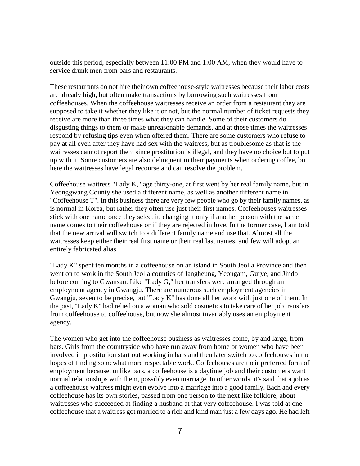outside this period, especially between 11:00 PM and 1:00 AM, when they would have to service drunk men from bars and restaurants.

These restaurants do not hire their own coffeehouse-style waitresses because their labor costs are already high, but often make transactions by borrowing such waitresses from coffeehouses. When the coffeehouse waitresses receive an order from a restaurant they are supposed to take it whether they like it or not, but the normal number of ticket requests they receive are more than three times what they can handle. Some of their customers do disgusting things to them or make unreasonable demands, and at those times the waitresses respond by refusing tips even when offered them. There are some customers who refuse to pay at all even after they have had sex with the waitress, but as troublesome as that is the waitresses cannot report them since prostitution is illegal, and they have no choice but to put up with it. Some customers are also delinquent in their payments when ordering coffee, but here the waitresses have legal recourse and can resolve the problem.

Coffeehouse waitress "Lady K," age thirty-one, at first went by her real family name, but in Yeonggwang County she used a different name, as well as another different name in "Coffeehouse T". In this business there are very few people who go by their family names, as is normal in Korea, but rather they often use just their first names. Coffeehouses waitresses stick with one name once they select it, changing it only if another person with the same name comes to their coffeehouse or if they are rejected in love. In the former case, I am told that the new arrival will switch to a different family name and use that. Almost all the waitresses keep either their real first name or their real last names, and few will adopt an entirely fabricated alias.

"Lady K" spent ten months in a coffeehouse on an island in South Jeolla Province and then went on to work in the South Jeolla counties of Jangheung, Yeongam, Gurye, and Jindo before coming to Gwansan. Like "Lady G," her transfers were arranged through an employment agency in Gwangju. There are numerous such employment agencies in Gwangju, seven to be precise, but "Lady K" has done all her work with just one of them. In the past, "Lady K" had relied on a woman who sold cosmetics to take care of her job transfers from coffeehouse to coffeehouse, but now she almost invariably uses an employment agency.

The women who get into the coffeehouse business as waitresses come, by and large, from bars. Girls from the countryside who have run away from home or women who have been involved in prostitution start out working in bars and then later switch to coffeehouses in the hopes of finding somewhat more respectable work. Coffeehouses are their preferred form of employment because, unlike bars, a coffeehouse is a daytime job and their customers want normal relationships with them, possibly even marriage. In other words, it's said that a job as a coffeehouse waitress might even evolve into a marriage into a good family. Each and every coffeehouse has its own stories, passed from one person to the next like folklore, about waitresses who succeeded at finding a husband at that very coffeehouse. I was told at one coffeehouse that a waitress got married to a rich and kind man just a few days ago. He had left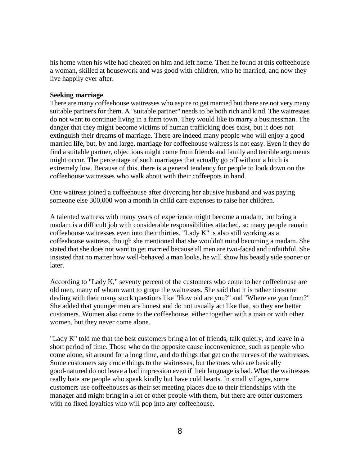his home when his wife had cheated on him and left home. Then he found at this coffeehouse a woman, skilled at housework and was good with children, who he married, and now they live happily ever after.

## **Seeking marriage**

There are many coffeehouse waitresses who aspire to get married but there are not very many suitable partners for them. A "suitable partner" needs to be both rich and kind. The waitresses do not want to continue living in a farm town. They would like to marry a businessman. The danger that they might become victims of human trafficking does exist, but it does not extinguish their dreams of marriage. There are indeed many people who will enjoy a good married life, but, by and large, marriage for coffeehouse waitress is not easy. Even if they do find a suitable partner, objections might come from friends and family and terrible arguments might occur. The percentage of such marriages that actually go off without a hitch is extremely low. Because of this, there is a general tendency for people to look down on the coffeehouse waitresses who walk about with their coffeepots in hand.

One waitress joined a coffeehouse after divorcing her abusive husband and was paying someone else 300,000 won a month in child care expenses to raise her children.

A talented waitress with many years of experience might become a madam, but being a madam is a difficult job with considerable responsibilities attached, so many people remain coffeehouse waitresses even into their thirties. "Lady K" is also still working as a coffeehouse waitress, though she mentioned that she wouldn't mind becoming a madam. She stated that she does not want to get married because all men are two-faced and unfaithful. She insisted that no matter how well-behaved a man looks, he will show his beastly side sooner or later.

According to "Lady K," seventy percent of the customers who come to her coffeehouse are old men, many of whom want to grope the waitresses. She said that it is rather tiresome dealing with their many stock questions like "How old are you?" and "Where are you from?" She added that younger men are honest and do not usually act like that, so they are better customers. Women also come to the coffeehouse, either together with a man or with other women, but they never come alone.

"Lady K" told me that the best customers bring a lot of friends, talk quietly, and leave in a short period of time. Those who do the opposite cause inconvenience, such as people who come alone, sit around for a long time, and do things that get on the nerves of the waitresses. Some customers say crude things to the waitresses, but the ones who are basically good-natured do not leave a bad impression even if their language is bad. What the waitresses really hate are people who speak kindly but have cold hearts. In small villages, some customers use coffeehouses as their set meeting places due to their friendships with the manager and might bring in a lot of other people with them, but there are other customers with no fixed loyalties who will pop into any coffeehouse.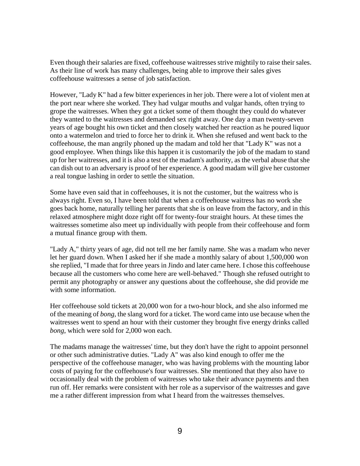Even though their salaries are fixed, coffeehouse waitresses strive mightily to raise their sales. As their line of work has many challenges, being able to improve their sales gives coffeehouse waitresses a sense of job satisfaction.

However, "Lady K" had a few bitter experiences in her job. There were a lot of violent men at the port near where she worked. They had vulgar mouths and vulgar hands, often trying to grope the waitresses. When they got a ticket some of them thought they could do whatever they wanted to the waitresses and demanded sex right away. One day a man twenty-seven years of age bought his own ticket and then closely watched her reaction as he poured liquor onto a watermelon and tried to force her to drink it. When she refused and went back to the coffeehouse, the man angrily phoned up the madam and told her that "Lady K" was not a good employee. When things like this happen it is customarily the job of the madam to stand up for her waitresses, and it is also a test of the madam's authority, as the verbal abuse that she can dish out to an adversary is proof of her experience. A good madam will give her customer a real tongue lashing in order to settle the situation.

Some have even said that in coffeehouses, it is not the customer, but the waitress who is always right. Even so, I have been told that when a coffeehouse waitress has no work she goes back home, naturally telling her parents that she is on leave from the factory, and in this relaxed atmosphere might doze right off for twenty-four straight hours. At these times the waitresses sometime also meet up individually with people from their coffeehouse and form a mutual finance group with them.

"Lady A," thirty years of age, did not tell me her family name. She was a madam who never let her guard down. When I asked her if she made a monthly salary of about 1,500,000 won she replied, "I made that for three years in Jindo and later came here. I chose this coffeehouse because all the customers who come here are well-behaved." Though she refused outright to permit any photography or answer any questions about the coffeehouse, she did provide me with some information.

Her coffeehouse sold tickets at 20,000 won for a two-hour block, and she also informed me of the meaning of *bong*, the slang word for a ticket. The word came into use because when the waitresses went to spend an hour with their customer they brought five energy drinks called *bong*, which were sold for 2,000 won each.

The madams manage the waitresses' time, but they don't have the right to appoint personnel or other such administrative duties. "Lady A" was also kind enough to offer me the perspective of the coffeehouse manager, who was having problems with the mounting labor costs of paying for the coffeehouse's four waitresses. She mentioned that they also have to occasionally deal with the problem of waitresses who take their advance payments and then run off. Her remarks were consistent with her role as a supervisor of the waitresses and gave me a rather different impression from what I heard from the waitresses themselves.